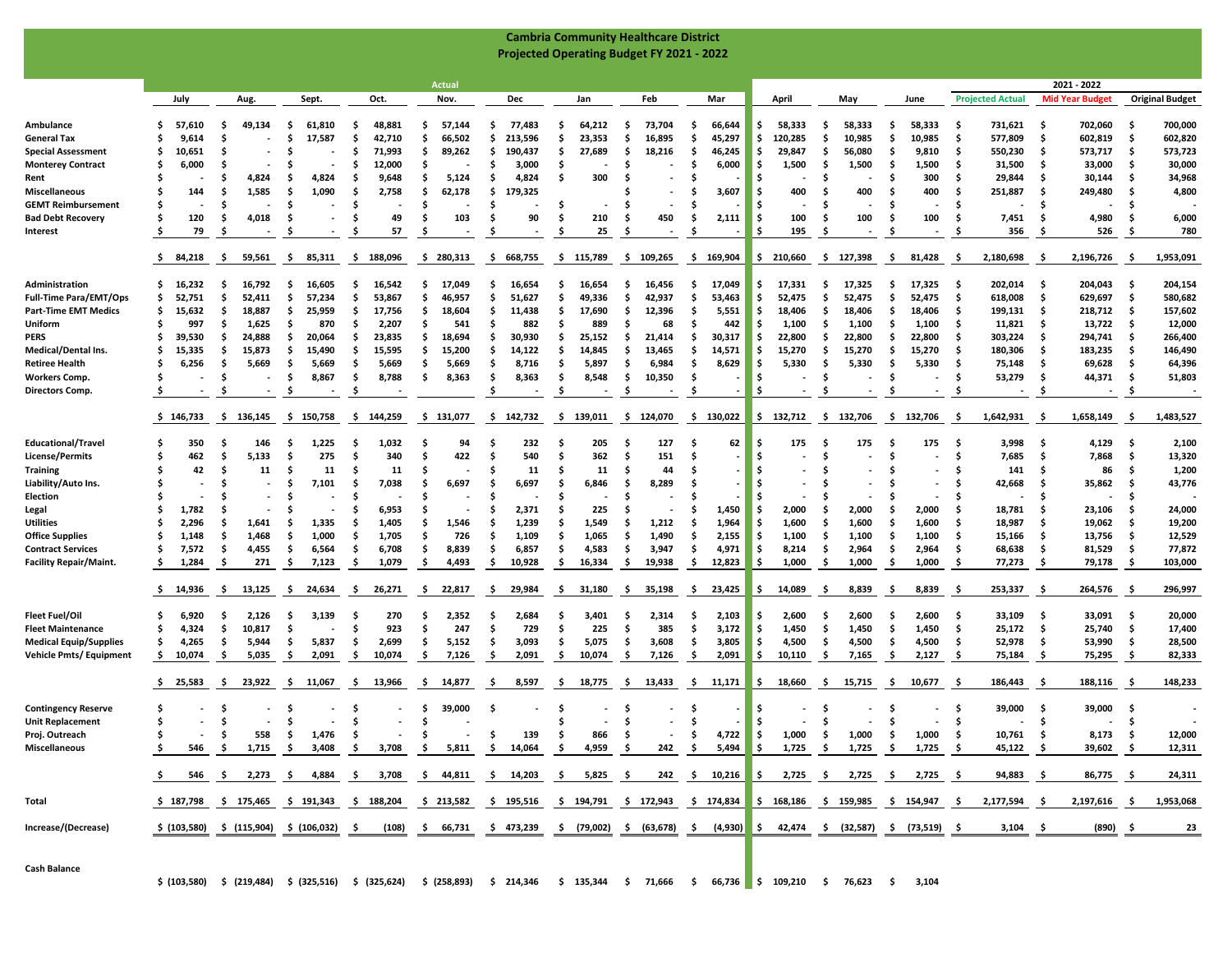|                                                  | <b>Cambria Community Healthcare District</b> |                    |                 |                                                                                                                                              |                |               |                 |                     |               |                                                                                 |               |               |                                |                                 |           |                        |
|--------------------------------------------------|----------------------------------------------|--------------------|-----------------|----------------------------------------------------------------------------------------------------------------------------------------------|----------------|---------------|-----------------|---------------------|---------------|---------------------------------------------------------------------------------|---------------|---------------|--------------------------------|---------------------------------|-----------|------------------------|
| <b>Projected Operating Budget FY 2021 - 2022</b> |                                              |                    |                 |                                                                                                                                              |                |               |                 |                     |               |                                                                                 |               |               |                                |                                 |           |                        |
|                                                  |                                              |                    |                 |                                                                                                                                              |                |               |                 |                     |               |                                                                                 |               |               |                                |                                 |           |                        |
|                                                  |                                              |                    |                 |                                                                                                                                              | Actual         |               |                 |                     |               |                                                                                 |               |               |                                | 2021 - 2022                     |           |                        |
|                                                  | July                                         | Aug.               | Sept.           | Oct.                                                                                                                                         | Nov.           | Dec           | Jan             | Feb                 | Mar           | April                                                                           | May           | June          | <b>Projected Actual</b>        | <b>Mid Year Budget</b>          |           | <b>Original Budget</b> |
| Ambulance                                        | 57,610                                       | 49,134<br>-S       | .s<br>61,810    | 48,881<br>.s                                                                                                                                 | 57,144<br>-S   | 77,483<br>s.  | 64,212<br>-S    | 73,704<br>-S        | 66,644<br>.s  | 58,333<br>s.                                                                    | 58,333<br>.s  | 58,333<br>-S  | 731,621<br>.s                  | 702,060<br>-\$                  | \$.       | 700,000                |
| <b>General Tax</b>                               | 9,614                                        | Ŝ.                 | . Ś<br>17,587   | \$.<br>42,710                                                                                                                                | 66,502<br>S    | 213,596<br>-S | 23,353<br>S     | Ŝ.<br>16,895        | 45,297<br>-S  | Ŝ.<br>120,285                                                                   | . Ś<br>10,985 | Ŝ.<br>10,985  | 577,809<br>.s                  | . Ś<br>602,819                  | Ŝ         | 602,820                |
| <b>Special Assessment</b>                        | 10,651<br>s                                  | .\$                | S               | 71,993<br>.s                                                                                                                                 | 89,262<br>S    | 190,437<br>s. | \$<br>27,689    | Ŝ.<br>18,216        | 46,245<br>.s  | \$<br>29,847                                                                    | -\$<br>56,080 | .\$<br>9,810  | 550,230<br>.s                  | -\$<br>573,717                  | \$        | 573,723                |
| <b>Monterey Contract</b>                         | 6,000                                        | .\$                | S               | .s<br>12,000                                                                                                                                 |                | -S<br>3,000   | S               |                     | 6,000         | 1,500<br>\$.                                                                    | -\$<br>1,500  | -S<br>1,500   | .s<br>31,500                   | 33,000<br>-S                    | \$.       | 30,000                 |
| Rent                                             |                                              | .\$<br>4,824       | S<br>4,824      | Ŝ<br>9,648                                                                                                                                   | 5,124<br>S     | Ŝ.<br>4,824   | 300<br>\$       |                     |               | Ś                                                                               | S             | 300<br>S      | .s<br>29,844                   | -\$<br>30,144                   | Ŝ         | 34,968                 |
| Miscellaneous                                    | 144<br>S                                     | 1,585<br>Ŝ.        | -Ś<br>1,090     | Ŝ<br>2,758                                                                                                                                   | Ŝ<br>62,178    | \$<br>179,325 |                 |                     | 3,607         | 400<br>.s                                                                       | Ś<br>400      | Ś<br>400      | Ŝ.<br>251,887                  | -\$<br>249,480                  | \$        | 4,800                  |
| <b>GEMT Reimbursement</b>                        | S                                            | Ŝ.                 | . Ś             | Ŝ                                                                                                                                            | .s             | s.            | .S              | -S                  |               | S                                                                               | Ŝ             | .s            | Ŝ.<br>$\blacksquare$           | -\$                             | S         |                        |
| <b>Bad Debt Recovery</b>                         | 120<br>Ś                                     | 4,018<br>.\$       | .s<br>$\sim$    | 49<br>S                                                                                                                                      | 103<br>s       | 90<br>s.      | 210<br>.s       | 450<br>-S           | 2,111         | 100<br>. Ś                                                                      | 100<br>. Ś    | 100<br>.\$    | Ŝ.<br>7,451                    | 4,980<br>-S                     | S         | 6,000                  |
| Interest                                         | 79                                           | .\$                | .s              | 57<br>S                                                                                                                                      | -S             |               | 25<br>S         |                     |               | 195<br>\$                                                                       | -Ś            | -S            | 356<br>.s                      | 526<br>S                        |           | 780                    |
|                                                  | -\$<br>84,218                                | 59,561<br>-S       | - \$<br>85,311  | 188,096<br>-S                                                                                                                                | 280,313<br>\$. | 668,755<br>s. | 115,789<br>-\$  | 109,265<br>\$.      | \$169,904     | \$210,660                                                                       | \$<br>127,398 | 81,428<br>-\$ | 2,180,698<br>-S                | 2,196,726<br>- S                | -S        | 1,953,091              |
| Administration                                   | 16,232<br>S.                                 | 16,792<br>.s       | 16,605<br>-S    | 16,542<br>-S                                                                                                                                 | 17,049<br>Ŝ.   | 16.654<br>-S  | 16,654<br>Ŝ     | 16,456<br>-S        | 17,049<br>-S  | \$<br>17,331                                                                    | 17,325<br>- S | 17,325<br>-S  | 202,014<br>-S                  | -\$<br>204,043                  | \$        | 204,154                |
| <b>Full-Time Para/EMT/Ops</b>                    | s<br>52,751                                  | Ŝ.<br>52,411       | . Ś<br>57,234   | Ŝ<br>53,867                                                                                                                                  | 46,957<br>S    | 51,627<br>s.  | . Ś<br>49,336   | Ŝ.<br>42,937        | 53,463<br>.s  | 52,475<br>\$.                                                                   | . Ś<br>52,475 | -\$<br>52,475 | 618,008<br>.s                  | -\$<br>629,697                  | \$        | 580,682                |
| <b>Part-Time EMT Medics</b>                      | s<br>15,632                                  | 18,887<br>\$.      | 25,959<br>.s    | s<br>17,756                                                                                                                                  | 18,604<br>\$   | s.<br>11,438  | \$<br>17,690    | Ŝ.<br>12,396        | 5,551<br>.s   | Ŝ.<br>18,406                                                                    | -\$<br>18,406 | 18,406<br>.\$ | 199,131<br>.s                  | -\$<br>218,712                  | \$        | 157,602                |
| Uniform                                          | 997<br>S                                     | \$<br>1,625        | .s<br>870       | .s<br>2,207                                                                                                                                  | 541<br>s       | s.<br>882     | S<br>889        | 68<br>Ŝ             | 442<br>-S     | \$.<br>1,100                                                                    | -S<br>1,100   | .s<br>1,100   | 11,821<br>-S                   | 13,722<br>-S                    | -\$       | 12,000                 |
| PERS                                             | S<br>39,530                                  | -S<br>24,888       | S<br>20,064     | Ŝ<br>23,835                                                                                                                                  | 18,694<br>S    | 30,930<br>s.  | S<br>25,152     | S<br>21,414         | 30,317<br>-S  | .s<br>22,800                                                                    | .s<br>22,800  | .s<br>22,800  | .s<br>303,224                  | -\$<br>294,741                  | -\$       | 266,400                |
| Medical/Dental Ins.                              | 15,335<br>Ś                                  | Ŝ.<br>15,873       | . Ś<br>15,490   | 15,595<br>.s                                                                                                                                 | 15,200<br>S    | Ŝ.<br>14,122  | 14,845<br>S     | Ŝ<br>13,465         | Ŝ.<br>14,571  | Ŝ.<br>15,270                                                                    | -\$<br>15,270 | 15,270<br>S   | 180,306<br>-S                  | . Ś<br>183,235                  | Ŝ         | 146,490                |
| <b>Retiree Health</b>                            | 6,256<br>Ś                                   | Ŝ.<br>5,669        | 5,669<br>-S     | 5,669<br>-S                                                                                                                                  | 5,669<br>\$.   | s.<br>8,716   | 5,897<br>.s     | 6,984<br>-S         | 8,629<br>.s   | 5,330<br>.s                                                                     | -\$<br>5,330  | -\$<br>5,330  | 75,148<br>-S                   | 69,628<br>-S                    | -S        | 64,396                 |
| Workers Comp.                                    | Ś                                            | Ŝ.                 | \$<br>8,867     | 8,788<br>-S                                                                                                                                  | 8,363<br>\$.   | 8,363<br>-S   | 8,548<br>- S    | 10,350<br>-S        | .s            | \$.                                                                             | . Ś           | -\$           | 53,279<br>-S                   | -\$<br>44,371                   | -\$       | 51,803                 |
| <b>Directors Comp.</b>                           |                                              | -S                 | -\$             | -S                                                                                                                                           |                |               | -S              | -S                  | -S            | Ŝ.                                                                              | -\$           | -\$           | -S<br>$\overline{\phantom{a}}$ | S<br>$\sim$                     | -\$       |                        |
|                                                  | \$146,733                                    | \$136,145          | \$150,758       | -S<br>144,259                                                                                                                                | \$131,077      | \$142,732     | - \$<br>139,011 | \$124,070           | \$130,022     | \$132,712                                                                       | \$132,706     | \$132,706     | 1,642,931<br>-S                | 1,658,149<br>-S                 | -S        | 1,483,527              |
|                                                  | 350<br>S                                     | 146                | 1,225           | 1,032<br>.s                                                                                                                                  | 94             | 232           | 205<br>.s       | 127<br>-S           |               | 175<br>S                                                                        | 175           | -S            |                                |                                 |           |                        |
| <b>Educational/Trave</b><br>License/Permits      | 462<br>S                                     | -S<br>-\$<br>5,133 | S<br>275<br>-Ś  | Ŝ<br>340                                                                                                                                     | 422<br>S       | 540<br>s.     | 362<br>. Ś      | 151<br>-S           | 62<br>-S      | \$                                                                              | -S<br>-Ś      | 175<br>.s     | 3,998<br>S<br>7,685<br>.s      | 4,129<br>-\$<br>7,868<br>-\$    | -\$<br>\$ | 2,100<br>13,320        |
| <b>Training</b>                                  | 42                                           | .\$<br>11          | .s<br>11        | 11<br>.s                                                                                                                                     | S              | s.<br>11      | 11<br>S         | 44                  |               | Ś                                                                               | S             | s             | .s<br>141                      | 86<br>.s                        | Ŝ         | 1,200                  |
| Liability/Auto Ins.                              |                                              | \$                 | 7,101<br>.s     | 7,038<br>S                                                                                                                                   | 6,697<br>.s    | 6,697<br>s.   | 6,846<br>.s     | Ŝ.<br>8,289         |               | S                                                                               | \$.           | S             | Ŝ.<br>42,668                   | 35,862<br>S                     | S         | 43,776                 |
| Election                                         |                                              | Ŝ.                 |                 | Ś                                                                                                                                            |                | s.            | S               | Ŝ                   |               | Ŝ.                                                                              | S             | S             | .s                             | . Ś                             | \$        |                        |
| Legal                                            | 1,782<br>S                                   | .\$                | Ś               | 6,953<br>Ŝ                                                                                                                                   |                | 2,371<br>s.   | 225<br>S        |                     | 1,450<br>-S   | -\$<br>2,000                                                                    | -Ś<br>2,000   | 2,000<br>S    | Ŝ.<br>18,781                   | 23,106<br>-S                    | \$        | 24,000                 |
| <b>Utilities</b>                                 | 2,296                                        | Ŝ.<br>1,641        | . Ś<br>1,335    | Ŝ<br>1,405                                                                                                                                   | 1,546<br>S     | 1,239<br>s.   | Ś<br>1,549      | 1,212<br>Ŝ          | 1,964         | 1,600                                                                           | 1,600<br>\$.  | 1,600<br>S    | Ŝ.<br>18,987                   | -\$<br>19,062                   | \$        | 19,200                 |
| <b>Office Supplies</b>                           | 1,148                                        | 1,468<br>s.        | 1,000<br>.s     | 1,705<br>.s                                                                                                                                  | 726<br>\$.     | Ŝ.<br>1,109   | . Ś<br>1,065    | \$<br>1,490         | 2,155<br>-S   | -\$<br>1,100                                                                    | -\$<br>1,100  | 1,100<br>.s   | 15,166<br>.s                   | -\$<br>13,756                   | -\$       | 12,529                 |
| <b>Contract Services</b>                         | 7,572<br>S                                   | 4,455<br>.\$       | 6,564<br>-S     | 6,708<br>.s                                                                                                                                  | 8,839<br>.s    | Ŝ.<br>6,857   | 4,583<br>. Ś    | 3,947<br>\$         | 4,971<br>.s   | \$<br>8,214                                                                     | . Ś<br>2,964  | 2,964<br>.s   | 68,638<br>.s                   | 81,529<br>-S                    | \$        | 77,872                 |
| <b>Facility Repair/Maint.</b>                    | 1,284                                        | 271<br>S           | 7,123<br>-\$    | -S<br>1,079                                                                                                                                  | 4,493<br>\$.   | 10,928<br>s.  | \$<br>16,334    | \$<br>19,938        | 12,823<br>-S  | \$<br>1,000                                                                     | -\$<br>1,000  | .\$<br>1,000  | Ŝ.<br>77,273                   | 79,178<br>-S                    | \$        | 103,000                |
|                                                  | 14,936<br>-S                                 | 13,125<br>-S       | -S<br>24,634    | -\$<br>26,271                                                                                                                                | -\$<br>22,817  | 29,984<br>-S  | -\$<br>31,180   | -\$<br>35,198       | 23,425<br>-S  | 14,089<br>s                                                                     | - S<br>8,839  | -\$<br>8,839  | -\$<br>253,337                 | 264,576<br>-S                   | -S        | 296,997                |
| <b>Fleet Fuel/Oil</b>                            | 6,920<br>S                                   | 2,126<br>-S        | 3,139<br>s      | 270<br>-S                                                                                                                                    | 2,352<br>s     | 2,684<br>-S   | 3,401<br>-S     | -S<br>2,314         | 2,103<br>-S   | 2,600<br>\$                                                                     | 2,600<br>S    | 2,600<br>-S   | 33,109<br>-S                   | 33,091<br>-\$                   | -\$       | 20,000                 |
| <b>Fleet Maintenance</b>                         | Ś<br>4,324                                   | \$<br>10,817       | .s              | 923<br>Ŝ                                                                                                                                     | 247<br>.s      | 729<br>Ŝ.     | Ś.<br>225       | 385<br>Ŝ.           | 3,172<br>.s   | Ŝ.<br>1,450                                                                     | -\$<br>1,450  | 1,450<br>-\$  | 25,172<br>-\$                  | -\$<br>25,740                   | \$        | 17,400                 |
| Medical Equip/Supplies                           | 4,265<br>\$                                  | 5,944<br>\$.       | 5,837<br>-S     | 2,699<br>.s                                                                                                                                  | 5,152<br>\$.   | 3,093<br>-S   | \$<br>5,075     | \$<br>3,608         | 3,805<br>.s   | Ŝ.<br>4,500                                                                     | -\$<br>4,500  | .\$<br>4,500  | 52,978<br>.\$                  | 53,990<br>-S                    | \$        | 28,500                 |
| <b>Vehicle Pmts/ Equipment</b>                   | \$.<br>10,074                                | s.<br>5,035        | .s<br>2,091     | -\$<br>10,074                                                                                                                                | \$<br>7,126    | s.<br>2,091   | \$<br>10,074    | -S<br>7,126         | 2,091<br>.s   | \$<br>10,110                                                                    | -\$<br>7,165  | -\$<br>2,127  | -S<br>75,184                   | .s<br>75,295                    | \$        | 82,333                 |
|                                                  | \$25,583                                     | 23,922<br>-S       | -\$<br>11,067   | -\$<br>13,966                                                                                                                                | -\$<br>14,877  | 8,597<br>-S   | - \$<br>18,775  | 13,433<br>- \$      | 11,171<br>-\$ | 18,660<br>\$.                                                                   | -\$<br>15,715 | 10,677<br>-\$ | 186,443<br>-\$                 | 188,116<br>S                    | -S        | 148,233                |
|                                                  |                                              |                    |                 |                                                                                                                                              |                |               |                 |                     |               |                                                                                 |               |               |                                |                                 |           |                        |
| <b>Contingency Reserve</b>                       | \$<br>Ś                                      | -S<br>Ŝ.           | -S<br>. Ś       | -S<br>Ŝ                                                                                                                                      | 39,000<br>-S   | s             | -S<br>Ś         | -S<br>Ŝ.            | -5            | \$<br>Ŝ.                                                                        | -S<br>. Ś     | -S<br>Ŝ.      | 39,000<br>-S<br>Ŝ.             | -\$<br>39,000                   | - S<br>Ŝ  |                        |
| <b>Unit Replacement</b>                          |                                              |                    |                 |                                                                                                                                              | S              |               |                 |                     | .s            |                                                                                 |               |               |                                | \$                              |           |                        |
| Proj. Outreach<br><b>Miscellaneous</b>           |                                              | $-5$               | 558 \$ 1,476 \$ | $-5$<br>546 \$ 1,715 \$ 3,408 \$ 3,708 \$ 5,811 \$ 14,064 \$ 4,959 \$                                                                        | $-5$           | 139           | - \$<br>866     | $\ddot{\mathbf{s}}$ |               | $-$ \$ 4,722 \$ 1,000 \$ 1,000 \$<br>242 \$ 5,494 \$ 1,725 \$ 1,725 \$ 1,725 \$ |               | 1,000         | - \$<br>$10,761$ \$<br>45,122  | $8,173$ \$<br>- \$<br>39,602 \$ |           | 12,000<br>12,311       |
|                                                  |                                              |                    |                 |                                                                                                                                              |                |               |                 |                     |               |                                                                                 |               |               |                                |                                 |           |                        |
|                                                  |                                              |                    |                 | 546 \$ 2,273 \$ 4,884 \$ 3,708 \$ 44,811 \$ 14,203 \$ 5,825 \$ 242 \$ 10,216 \$ 2,725 \$ 2,725 \$ 2,725 \$                                   |                |               |                 |                     |               |                                                                                 |               |               | 94,883 \$                      | 86,775 \$                       |           | 24,311                 |
| Total                                            |                                              |                    |                 | \$187,798 \$175,465 \$191,343 \$188,204 \$213,582 \$195,516 \$194,791 \$172,943 \$174,834 \$168,186 \$159,985 \$154,947 \$                   |                |               |                 |                     |               |                                                                                 |               |               | 2,177,594 \$                   |                                 |           | 2,197,616 \$ 1,953,068 |
| Increase/(Decrease)                              |                                              |                    |                 | \$ (103,580) \$ (115,904) \$ (106,032) \$ (108) \$ 66,731 \$ 473,239 \$ (79,002) \$ (63,678) \$ (4,930) \$ 42,474 \$ (32,587) \$ (73,519) \$ |                |               |                 |                     |               |                                                                                 |               |               | $3,104$ \$                     |                                 | (890) \$  | 23                     |
|                                                  |                                              |                    |                 |                                                                                                                                              |                |               |                 |                     |               |                                                                                 |               |               |                                |                                 |           |                        |

**Cash Balance**

**\$ (103,580) \$ (219,484) \$ (325,516) \$ (325,624) \$ (258,893) \$ 214,346 \$ 135,344 \$ 71,666 \$ 66,736 \$ 109,210 \$ 76,623 \$ 3,104**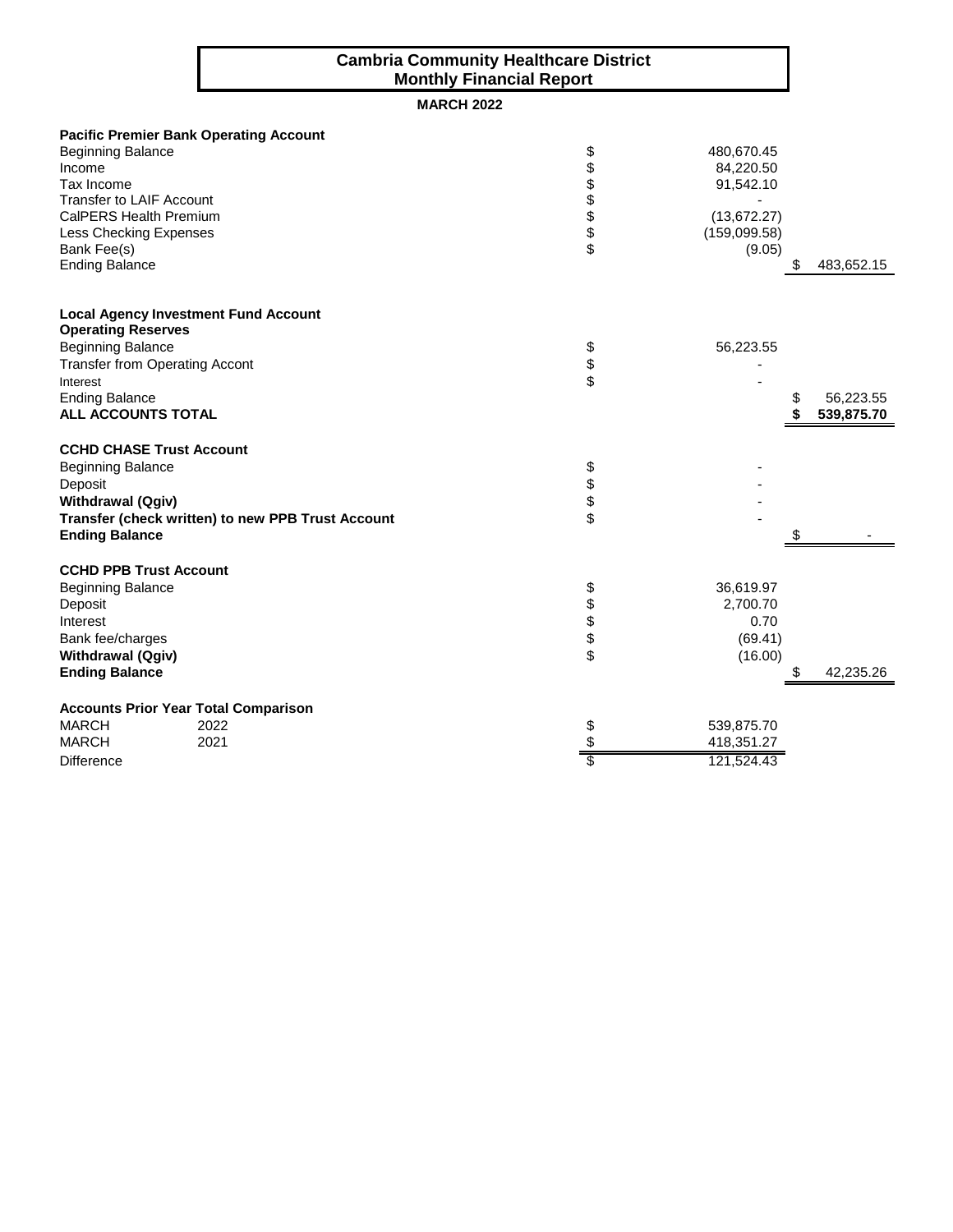### **Cambria Community Healthcare District Monthly Financial Report**

### **MARCH 2022**

|                                       | <b>Pacific Premier Bank Operating Account</b>     |               |              |            |
|---------------------------------------|---------------------------------------------------|---------------|--------------|------------|
| <b>Beginning Balance</b>              |                                                   | \$            | 480,670.45   |            |
| Income                                |                                                   |               | 84,220.50    |            |
| Tax Income                            |                                                   |               | 91,542.10    |            |
| <b>Transfer to LAIF Account</b>       |                                                   | <b>888888</b> |              |            |
| CalPERS Health Premium                |                                                   |               | (13, 672.27) |            |
| Less Checking Expenses                |                                                   |               | (159,099.58) |            |
| Bank Fee(s)                           |                                                   |               | (9.05)       |            |
| <b>Ending Balance</b>                 |                                                   |               |              | 483,652.15 |
|                                       | <b>Local Agency Investment Fund Account</b>       |               |              |            |
| <b>Operating Reserves</b>             |                                                   |               |              |            |
| <b>Beginning Balance</b>              |                                                   |               | 56,223.55    |            |
| <b>Transfer from Operating Accont</b> |                                                   |               |              |            |
| Interest                              |                                                   | \$<br>\$      |              |            |
| <b>Ending Balance</b>                 |                                                   |               |              | 56,223.55  |
| ALL ACCOUNTS TOTAL                    |                                                   |               |              | 539,875.70 |
| <b>CCHD CHASE Trust Account</b>       |                                                   |               |              |            |
| <b>Beginning Balance</b>              |                                                   | \$            |              |            |
| Deposit                               |                                                   |               |              |            |
| <b>Withdrawal (Qgiv)</b>              |                                                   | \$\$          |              |            |
|                                       | Transfer (check written) to new PPB Trust Account |               |              |            |
| <b>Ending Balance</b>                 |                                                   |               |              |            |
| <b>CCHD PPB Trust Account</b>         |                                                   |               |              |            |
| <b>Beginning Balance</b>              |                                                   | \$            | 36,619.97    |            |
| Deposit                               |                                                   |               | 2,700.70     |            |
| Interest                              |                                                   | \$\$\$\$      | 0.70         |            |
| Bank fee/charges                      |                                                   |               | (69.41)      |            |
| <b>Withdrawal (Qgiv)</b>              |                                                   |               | (16.00)      |            |
| <b>Ending Balance</b>                 |                                                   |               |              | 42,235.26  |
|                                       | <b>Accounts Prior Year Total Comparison</b>       |               |              |            |
| <b>MARCH</b>                          | 2022                                              | \$            | 539,875.70   |            |
| <b>MARCH</b>                          | 2021                                              | \$            | 418,351.27   |            |
| <b>Difference</b>                     |                                                   | S             | 121,524.43   |            |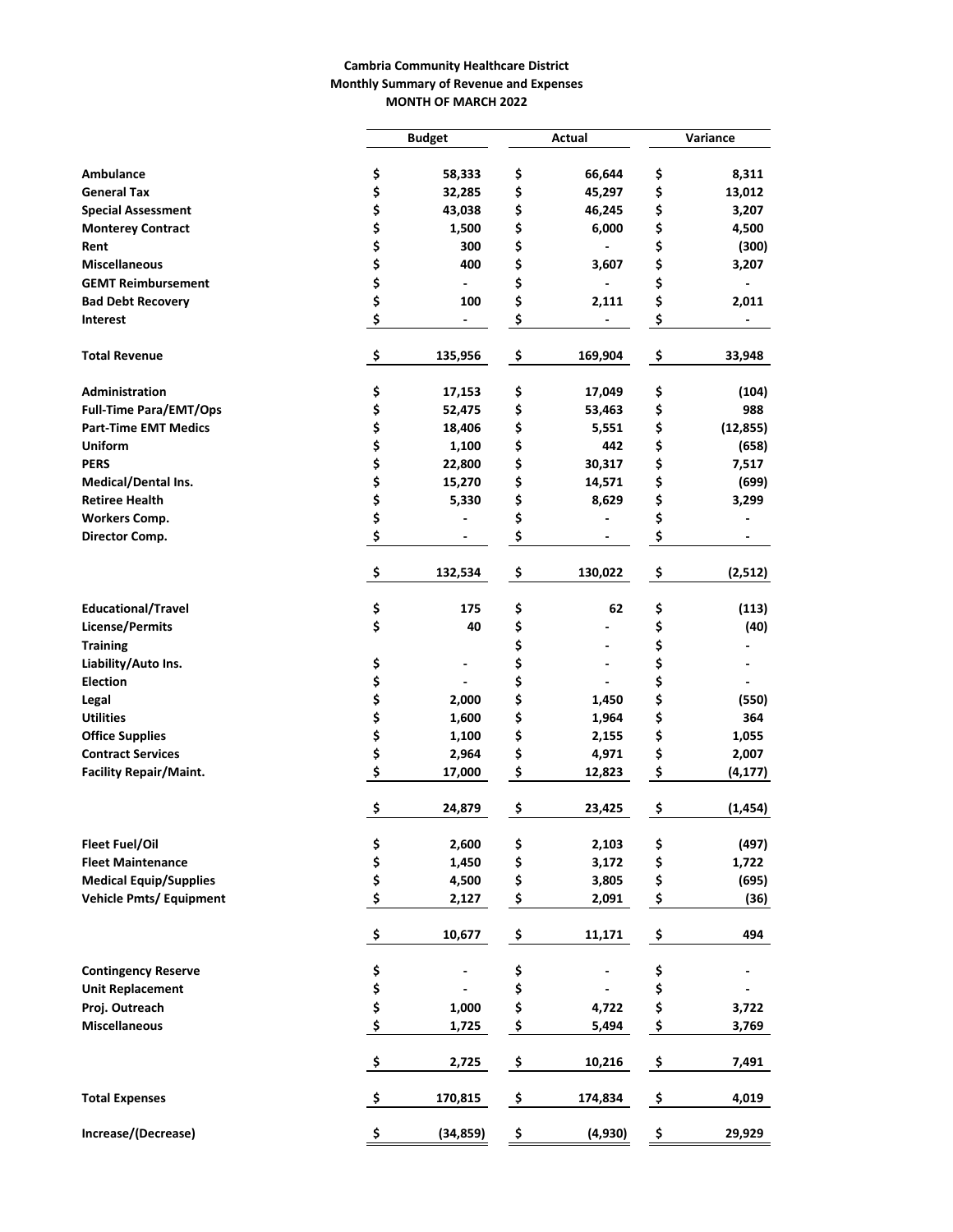#### **Cambria Community Healthcare District Monthly Summary of Revenue and Expenses MONTH OF MARCH 2022**

|                                |          | <b>Budget</b>            | Actual |                              | Variance |           |  |
|--------------------------------|----------|--------------------------|--------|------------------------------|----------|-----------|--|
|                                |          |                          |        |                              |          |           |  |
| Ambulance                      | \$       | 58,333                   | \$     | 66,644                       | \$       | 8,311     |  |
| <b>General Tax</b>             | \$       | 32,285                   | \$     | 45,297                       | \$       | 13,012    |  |
| <b>Special Assessment</b>      | \$       | 43,038                   | \$     | 46,245                       | \$       | 3,207     |  |
| <b>Monterey Contract</b>       | \$       | 1,500                    | \$     | 6,000                        | \$       | 4,500     |  |
| Rent                           | \$       | 300                      | \$     |                              | \$       | (300)     |  |
| <b>Miscellaneous</b>           | \$       | 400                      | \$     | 3,607                        | \$       | 3,207     |  |
| <b>GEMT Reimbursement</b>      | \$       |                          | \$     | $\blacksquare$               | \$       |           |  |
| <b>Bad Debt Recovery</b>       | \$       | 100                      | \$     | 2,111                        | \$       | 2,011     |  |
| <b>Interest</b>                | \$       | $\overline{\phantom{a}}$ | \$     |                              | \$       |           |  |
| <b>Total Revenue</b>           | \$       | 135,956                  | \$     | 169,904                      | \$       | 33,948    |  |
| Administration                 | \$       | 17,153                   | \$     | 17,049                       | \$       | (104)     |  |
| <b>Full-Time Para/EMT/Ops</b>  | \$       | 52,475                   | \$     | 53,463                       | \$       | 988       |  |
| <b>Part-Time EMT Medics</b>    | \$       | 18,406                   | \$     | 5,551                        | \$       | (12, 855) |  |
| <b>Uniform</b>                 | \$       | 1,100                    | \$     | 442                          | \$       | (658)     |  |
| <b>PERS</b>                    | \$       | 22,800                   | \$     | 30,317                       | \$       | 7,517     |  |
| Medical/Dental Ins.            | \$       | 15,270                   | \$     | 14,571                       | \$       | (699)     |  |
| <b>Retiree Health</b>          | \$       | 5,330                    | \$     | 8,629                        | \$       | 3,299     |  |
| <b>Workers Comp.</b>           | \$       |                          | \$     |                              | \$       |           |  |
| Director Comp.                 | \$       |                          | \$     | $\qquad \qquad \blacksquare$ | \$       |           |  |
|                                | \$       | 132,534                  | \$     | 130,022                      | \$       | (2,512)   |  |
| <b>Educational/Travel</b>      | \$       | 175                      | \$     | 62                           | \$       | (113)     |  |
| <b>License/Permits</b>         | \$       | 40                       | \$     |                              | \$       | (40)      |  |
| <b>Training</b>                |          |                          | \$     |                              | \$       |           |  |
| Liability/Auto Ins.            | \$       |                          | \$     |                              | \$       |           |  |
| <b>Election</b>                | \$       |                          | \$     |                              | \$       |           |  |
| Legal                          | \$       | 2,000                    | \$     | 1,450                        | \$       | (550)     |  |
| <b>Utilities</b>               | \$       | 1,600                    | \$     | 1,964                        | \$       | 364       |  |
| <b>Office Supplies</b>         | \$       | 1,100                    | \$     | 2,155                        | \$       | 1,055     |  |
| <b>Contract Services</b>       | \$       | 2,964                    | \$     | 4,971                        | \$       | 2,007     |  |
| <b>Facility Repair/Maint.</b>  | \$       | 17,000                   | \$     | 12,823                       | \$       | (4, 177)  |  |
|                                | \$       | 24,879                   | \$     | 23,425                       | \$       | (1, 454)  |  |
| <b>Fleet Fuel/Oil</b>          | \$<br>\$ | 2,600                    | \$     | 2,103                        | \$       | (497)     |  |
| <b>Fleet Maintenance</b>       |          | 1,450                    | \$     | 3,172                        | \$       | 1,722     |  |
| <b>Medical Equip/Supplies</b>  | \$       | 4,500                    | \$     | 3,805                        | \$       | (695)     |  |
| <b>Vehicle Pmts/ Equipment</b> | \$       | 2,127                    | \$     | 2,091                        | \$       | (36)      |  |
|                                | \$       | 10,677                   | \$     | 11,171                       | \$       | 494       |  |
| <b>Contingency Reserve</b>     | \$       |                          | \$     |                              | \$       |           |  |
| <b>Unit Replacement</b>        | \$       |                          | \$     |                              | \$       |           |  |
| Proj. Outreach                 | \$       | 1,000                    | \$     | 4,722                        | \$       | 3,722     |  |
| <b>Miscellaneous</b>           | \$       | 1,725                    | \$     | 5,494                        | \$       | 3,769     |  |
|                                | \$       | 2,725                    | \$     | 10,216                       | \$       | 7,491     |  |
| <b>Total Expenses</b>          | -\$      | 170,815                  | \$     | 174,834                      | \$       | 4,019     |  |
| Increase/(Decrease)            | \$       | (34, 859)                | \$     | (4,930)                      | \$       | 29,929    |  |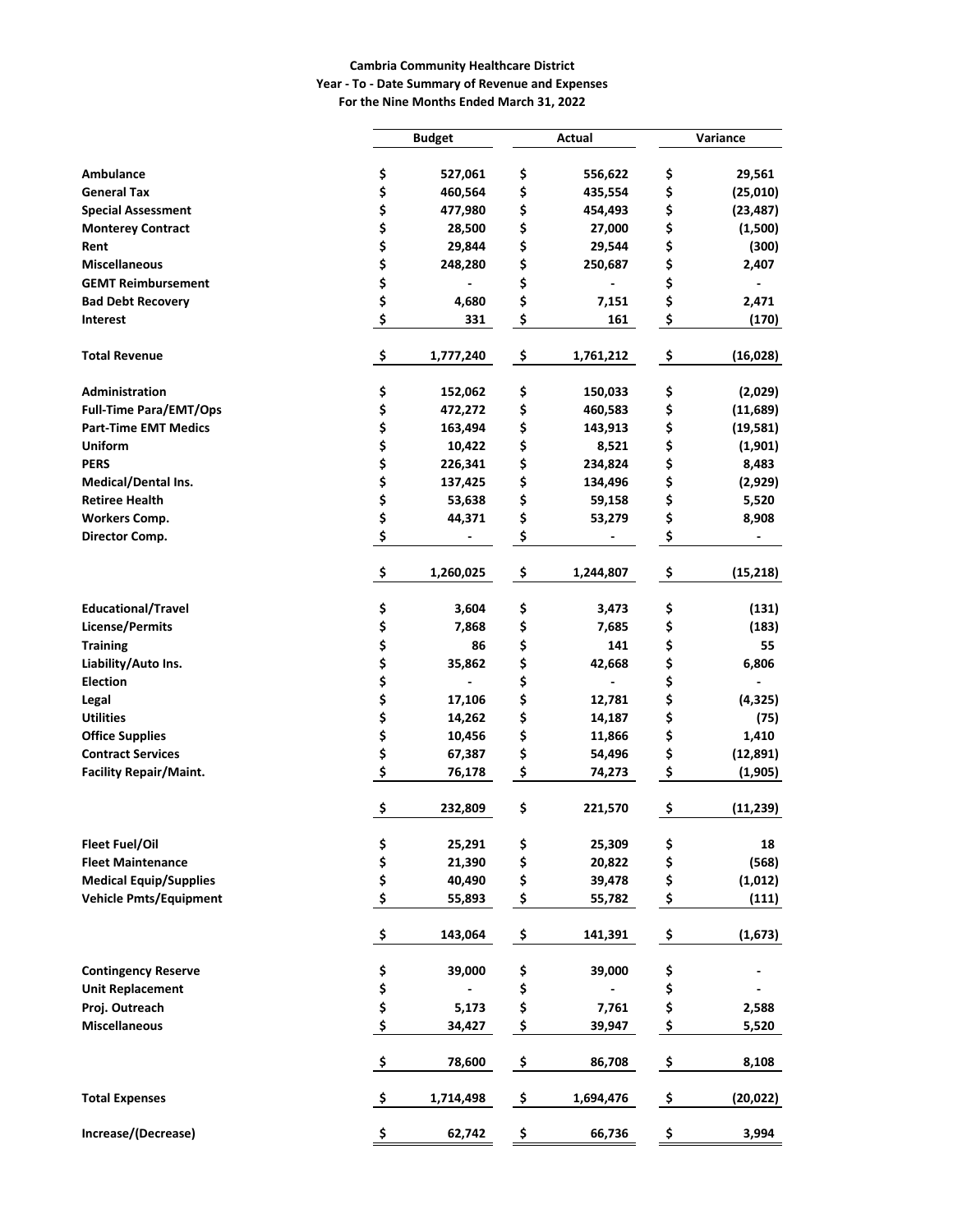#### **Cambria Community Healthcare District Year - To - Date Summary of Revenue and Expenses For the Nine Months Ended March 31, 2022**

|                               |                     | <b>Budget</b> |                    | Actual    | Variance |           |  |
|-------------------------------|---------------------|---------------|--------------------|-----------|----------|-----------|--|
|                               |                     |               |                    |           |          |           |  |
| Ambulance                     | \$                  | 527,061       | \$                 | 556,622   | \$       | 29,561    |  |
| <b>General Tax</b>            | \$                  | 460,564       | \$                 | 435,554   | \$       | (25, 010) |  |
| <b>Special Assessment</b>     | \$                  | 477,980       | \$                 | 454,493   | \$       | (23, 487) |  |
| <b>Monterey Contract</b>      | \$                  | 28,500        | \$                 | 27,000    | \$       | (1,500)   |  |
| Rent                          | \$                  | 29,844        | \$                 | 29,544    | \$       | (300)     |  |
| <b>Miscellaneous</b>          | \$                  | 248,280       | \$                 | 250,687   | \$       | 2,407     |  |
| <b>GEMT Reimbursement</b>     | \$                  |               | \$                 | ٠         | \$       |           |  |
| <b>Bad Debt Recovery</b>      | \$                  | 4,680         | \$                 | 7,151     | \$       | 2,471     |  |
| <b>Interest</b>               | \$                  | 331           | \$                 | 161       | \$       | (170)     |  |
| <b>Total Revenue</b>          | \$                  | 1,777,240     | \$                 | 1,761,212 | \$       | (16, 028) |  |
| Administration                | \$                  | 152,062       | \$                 | 150,033   | \$       | (2,029)   |  |
| <b>Full-Time Para/EMT/Ops</b> | \$                  | 472,272       | \$                 | 460,583   | \$       | (11,689)  |  |
| <b>Part-Time EMT Medics</b>   | \$                  | 163,494       | \$                 | 143,913   | \$       | (19, 581) |  |
| Uniform                       | \$                  | 10,422        | \$                 | 8,521     | \$       | (1,901)   |  |
| <b>PERS</b>                   | \$                  | 226,341       | \$                 | 234,824   | \$       | 8,483     |  |
| Medical/Dental Ins.           | \$                  | 137,425       | \$                 | 134,496   | \$       | (2,929)   |  |
| <b>Retiree Health</b>         | \$                  | 53,638        | \$                 | 59,158    | \$       | 5,520     |  |
| <b>Workers Comp.</b>          | \$                  | 44,371        | \$                 | 53,279    | \$       | 8,908     |  |
| Director Comp.                | \$                  |               | \$                 |           | \$       |           |  |
|                               | \$                  | 1,260,025     | \$                 | 1,244,807 | \$       | (15, 218) |  |
| <b>Educational/Travel</b>     | \$                  | 3,604         | \$                 | 3,473     | \$       | (131)     |  |
| <b>License/Permits</b>        | \$                  | 7,868         | \$                 | 7,685     | \$       | (183)     |  |
| <b>Training</b>               | \$                  | 86            | \$                 | 141       | \$       | 55        |  |
| Liability/Auto Ins.           | \$                  | 35,862        | \$                 | 42,668    | \$       | 6,806     |  |
| <b>Election</b>               | \$                  |               | \$                 | ٠         | \$       |           |  |
| Legal                         | \$                  | 17,106        | \$                 | 12,781    | \$       | (4, 325)  |  |
| <b>Utilities</b>              | \$                  | 14,262        | \$                 | 14,187    | \$       | (75)      |  |
| <b>Office Supplies</b>        | \$                  | 10,456        | \$                 | 11,866    | \$       | 1,410     |  |
| <b>Contract Services</b>      | \$                  | 67,387        | \$                 | 54,496    | \$       | (12, 891) |  |
| <b>Facility Repair/Maint.</b> | \$                  | 76,178        | \$                 | 74,273    | \$       | (1,905)   |  |
|                               | \$                  | 232,809       | \$                 | 221,570   | \$       | (11, 239) |  |
| Fleet Fuel/Oil                | \$                  | 25,291        | \$                 | 25,309    | \$       | 18        |  |
| <b>Fleet Maintenance</b>      | \$                  | 21,390        | \$                 | 20,822    | \$       | (568)     |  |
| <b>Medical Equip/Supplies</b> | \$                  | 40,490        | \$                 | 39,478    | \$       | (1,012)   |  |
| <b>Vehicle Pmts/Equipment</b> | \$                  | 55,893        | \$                 | 55,782    | \$       | (111)     |  |
|                               | \$                  | 143,064       | $\pmb{\mathsf{S}}$ | 141,391   | \$       | (1, 673)  |  |
| <b>Contingency Reserve</b>    | \$                  | 39,000        | \$                 | 39,000    | \$       |           |  |
| <b>Unit Replacement</b>       | \$                  |               | \$                 |           | \$       |           |  |
| Proj. Outreach                | \$                  | 5,173         | \$                 | 7,761     | \$       | 2,588     |  |
| <b>Miscellaneous</b>          | \$                  | 34,427        | \$                 | 39,947    | \$       | 5,520     |  |
|                               | $\ddot{\bm{\zeta}}$ | 78,600        | $\mathsf{S}$       | 86,708    | \$       | 8,108     |  |
| <b>Total Expenses</b>         | $\ddot{\bm{\zeta}}$ | 1,714,498     | \$                 | 1,694,476 | \$       | (20, 022) |  |
| Increase/(Decrease)           | \$                  | 62,742        | \$                 | 66,736    | \$       | 3,994     |  |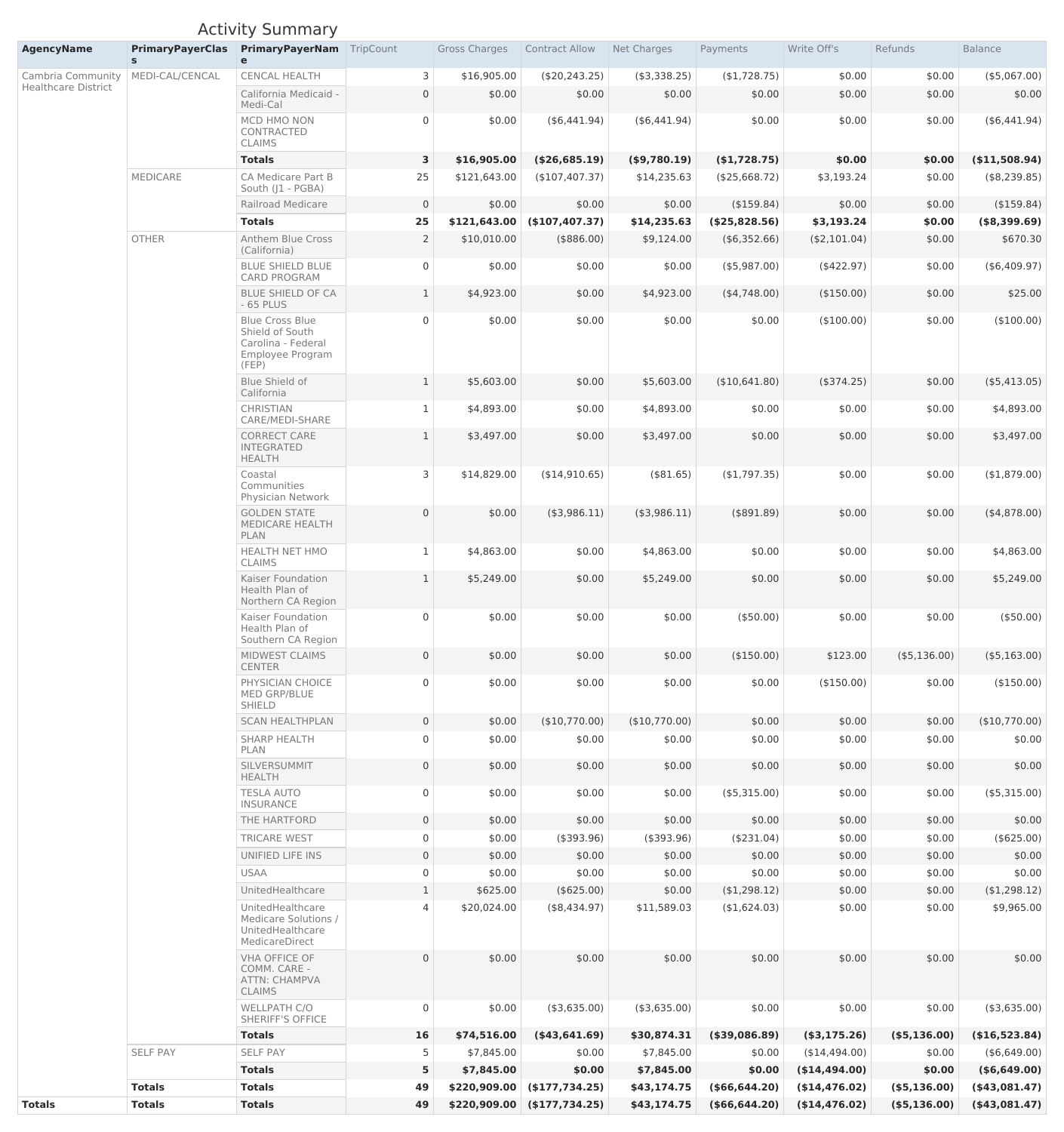# Activity Summary

| <b>AgencyName</b>          | <b>PrimaryPayerClas</b> | <b>PrimaryPayerNam</b> TripCount<br>e                                                               |                | <b>Gross Charges</b> | <b>Contract Allow</b>            | Net Charges     | Payments         | Write Off's     | Refunds         | <b>Balance</b>     |
|----------------------------|-------------------------|-----------------------------------------------------------------------------------------------------|----------------|----------------------|----------------------------------|-----------------|------------------|-----------------|-----------------|--------------------|
| Cambria Community          | MEDI-CAL/CENCAL         | <b>CENCAL HEALTH</b>                                                                                | 3              | \$16,905.00          | (\$20,243.25)                    | $($ \$3,338.25) | (\$1,728.75)     | \$0.00          | \$0.00          | $($ \$5,067.00)    |
| <b>Healthcare District</b> |                         | California Medicaid -<br>Medi-Cal                                                                   | $\overline{0}$ | \$0.00               | \$0.00                           | \$0.00          | \$0.00           | \$0.00          | \$0.00          | \$0.00             |
|                            |                         | MCD HMO NON<br>CONTRACTED<br><b>CLAIMS</b>                                                          | $\overline{0}$ | \$0.00               | $($ \$6,441.94)                  | $($ \$6,441.94) | \$0.00           | \$0.00          | \$0.00          | $($ \$6,441.94 $)$ |
|                            |                         | <b>Totals</b>                                                                                       | 3              | \$16,905.00          | (\$26,685.19)                    | (\$9,780.19)    | (\$1,728.75)     | \$0.00          | \$0.00          | (\$11,508.94)      |
|                            | <b>MEDICARE</b>         | <b>CA Medicare Part B</b><br>South (J1 - PGBA)                                                      | 25             | \$121,643.00         | (\$107,407.37)                   | \$14,235.63     | (\$25,668.72)    | \$3,193.24      | \$0.00          | (\$8,239.85)       |
|                            |                         | <b>Railroad Medicare</b>                                                                            | $\overline{0}$ | \$0.00               | \$0.00                           | \$0.00          | $($ \$159.84)    | \$0.00          | \$0.00          | (\$159.84)         |
|                            |                         | <b>Totals</b>                                                                                       | 25             | \$121,643.00         | (\$107,407.37)                   | \$14,235.63     | (\$25,828.56)    | \$3,193.24      | \$0.00          | (\$8,399.69)       |
|                            | <b>OTHER</b>            | <b>Anthem Blue Cross</b><br>(California)                                                            |                | \$10,010.00          | (\$886.00)                       | \$9,124.00      | $($ \$6,352.66)  | (\$2,101.04)    | \$0.00          | \$670.30           |
|                            |                         | <b>BLUE SHIELD BLUE</b><br><b>CARD PROGRAM</b>                                                      | $\overline{0}$ | \$0.00               | \$0.00                           | \$0.00          | $($ \$5,987.00)  | (\$422.97)      | \$0.00          | (\$6,409.97)       |
|                            |                         | <b>BLUE SHIELD OF CA</b><br>$-65$ PLUS                                                              |                | \$4,923.00           | \$0.00                           | \$4,923.00      | (4,748.00)       | (\$150.00)      | \$0.00          | \$25.00            |
|                            |                         | <b>Blue Cross Blue</b><br>Shield of South<br>Carolina - Federal<br><b>Employee Program</b><br>(FEP) | $\overline{0}$ | \$0.00               | \$0.00                           | \$0.00          | \$0.00           | (\$100.00)      | \$0.00          | (\$100.00)         |
|                            |                         | <b>Blue Shield of</b><br>California                                                                 |                | \$5,603.00           | \$0.00                           | \$5,603.00      | (\$10,641.80)    | (\$374.25)      | \$0.00          | $($ \$5,413.05)    |
|                            |                         | <b>CHRISTIAN</b><br>CARE/MEDI-SHARE                                                                 |                | \$4,893.00           | \$0.00                           | \$4,893.00      | \$0.00           | \$0.00          | \$0.00          | \$4,893.00         |
|                            |                         | CORRECT CARE<br><b>INTEGRATED</b><br><b>HEALTH</b>                                                  |                | \$3,497.00           | \$0.00                           | \$3,497.00      | \$0.00           | \$0.00          | \$0.00          | \$3,497.00         |
|                            |                         | Coastal<br>Communities<br><b>Physician Network</b>                                                  | 3              | \$14,829.00          | (\$14,910.65)                    | (\$81.65)       | (\$1,797.35)     | \$0.00          | \$0.00          | (\$1,879.00)       |
|                            |                         | <b>GOLDEN STATE</b><br><b>MEDICARE HEALTH</b><br><b>PLAN</b>                                        | $\overline{0}$ | \$0.00               | $($ \$3,986.11)                  | (\$3,986.11)    | (\$891.89)       | \$0.00          | \$0.00          | $($ \$4,878.00)    |
|                            |                         | <b>HEALTH NET HMO</b><br><b>CLAIMS</b>                                                              |                | \$4,863.00           | \$0.00                           | \$4,863.00      | \$0.00           | \$0.00          | \$0.00          | \$4,863.00         |
|                            |                         | Kaiser Foundation<br>Health Plan of<br>Northern CA Region                                           |                | \$5,249.00           | \$0.00                           | \$5,249.00      | \$0.00           | \$0.00          | \$0.00          | \$5,249.00         |
|                            |                         | Kaiser Foundation<br>Health Plan of<br>Southern CA Region                                           | $\overline{0}$ | \$0.00               | \$0.00                           | \$0.00          | $($ \$50.00)     | \$0.00          | \$0.00          | (\$50.00)          |
|                            |                         | MIDWEST CLAIMS<br><b>CENTER</b>                                                                     | $\overline{0}$ | \$0.00               | \$0.00                           | \$0.00          | (\$150.00)       | \$123.00        | $($ \$5,136.00) | $($ \$5,163.00)    |
|                            |                         | PHYSICIAN CHOICE<br><b>MED GRP/BLUE</b><br><b>SHIELD</b>                                            | $\overline{0}$ | \$0.00               | \$0.00                           | \$0.00          | \$0.00           | (\$150.00)      | \$0.00          | (\$150.00)         |
|                            |                         | <b>SCAN HEALTHPLAN</b>                                                                              | $\overline{0}$ | \$0.00               | (\$10,770.00)                    | (\$10,770.00)   | \$0.00           | \$0.00          | \$0.00          | (\$10,770.00)      |
|                            |                         | <b>SHARP HEALTH</b><br>PLAN                                                                         | $\overline{0}$ | \$0.00               | \$0.00                           | \$0.00          | \$0.00           | \$0.00          | \$0.00          | \$0.00             |
|                            |                         | SILVERSUMMIT<br><b>HEALTH</b>                                                                       | $\overline{0}$ | \$0.00               | \$0.00                           | \$0.00          | \$0.00           | \$0.00          | \$0.00          | \$0.00             |
|                            |                         | <b>TESLA AUTO</b><br><b>INSURANCE</b>                                                               | $\overline{0}$ | \$0.00               | \$0.00                           | \$0.00          | $($ \$5,315.00)  | \$0.00          | \$0.00          | $($ \$5,315.00)    |
|                            |                         | THE HARTFORD                                                                                        | $\overline{0}$ | \$0.00               | \$0.00                           | \$0.00          | \$0.00           | \$0.00          | \$0.00          | \$0.00             |
|                            |                         | <b>TRICARE WEST</b>                                                                                 | $\overline{0}$ | \$0.00               | (\$393.96)                       | (\$393.96)      | (\$231.04)       | \$0.00          | \$0.00          | (\$625.00)         |
|                            |                         | UNIFIED LIFE INS                                                                                    | $\overline{0}$ | \$0.00               | \$0.00                           | \$0.00          | \$0.00           | \$0.00          | \$0.00          | \$0.00             |
|                            |                         | <b>USAA</b>                                                                                         |                | \$0.00               | \$0.00                           | \$0.00          | \$0.00           | \$0.00          | \$0.00          | \$0.00             |
|                            |                         | UnitedHealthcare                                                                                    |                | \$625.00             | (\$625.00)                       | \$0.00          | (\$1,298.12)     | \$0.00          | \$0.00          | (\$1,298.12)       |
|                            |                         | UnitedHealthcare<br>Medicare Solutions /<br>UnitedHealthcare<br>MedicareDirect                      | $\overline{4}$ | \$20,024.00          | (\$8,434.97)                     | \$11,589.03     | ( \$1,624.03)    | \$0.00          | \$0.00          | \$9,965.00         |
|                            |                         | <b>VHA OFFICE OF</b><br>COMM. CARE -<br>ATTN: CHAMPVA<br><b>CLAIMS</b>                              | $\overline{0}$ | \$0.00               | \$0.00                           | \$0.00          | \$0.00           | \$0.00          | \$0.00          | \$0.00             |
|                            |                         | <b>WELLPATH C/O</b><br><b>SHERIFF'S OFFICE</b>                                                      | $\overline{0}$ | \$0.00               | (\$3,635.00)                     | $($ \$3,635.00) | \$0.00           | \$0.00          | \$0.00          | (\$3,635.00)       |
|                            |                         | <b>Totals</b>                                                                                       | <b>16</b>      | \$74,516.00          | $($ \$43,641.69)                 | \$30,874.31     | (\$39,086.89)    | $($ \$3,175.26) | (\$5,136.00)    | (\$16,523.84)      |
|                            | <b>SELF PAY</b>         | <b>SELF PAY</b>                                                                                     |                | \$7,845.00           | \$0.00                           | \$7,845.00      | \$0.00           | (\$14,494.00)   | \$0.00          | $($ \$6,649.00)    |
|                            |                         | <b>Totals</b>                                                                                       | 5              | \$7,845.00           | \$0.00                           | \$7,845.00      | \$0.00           | (\$14,494.00)   | \$0.00          | $($ \$6,649.00)    |
|                            | <b>Totals</b>           | <b>Totals</b>                                                                                       | 49             |                      | $$220,909.00 \mid ($177,734.25)$ | \$43,174.75     | $($ \$66,644.20) | (\$14,476.02)   | (\$5,136.00)    | $($ \$43,081.47)   |
| <b>Totals</b>              | <b>Totals</b>           | <b>Totals</b>                                                                                       | 49             | \$220,909.00         | (\$177,734.25)                   | \$43,174.75     | $($ \$66,644.20) | (\$14,476.02)   | (\$5,136.00)    | ( \$43,081.47)     |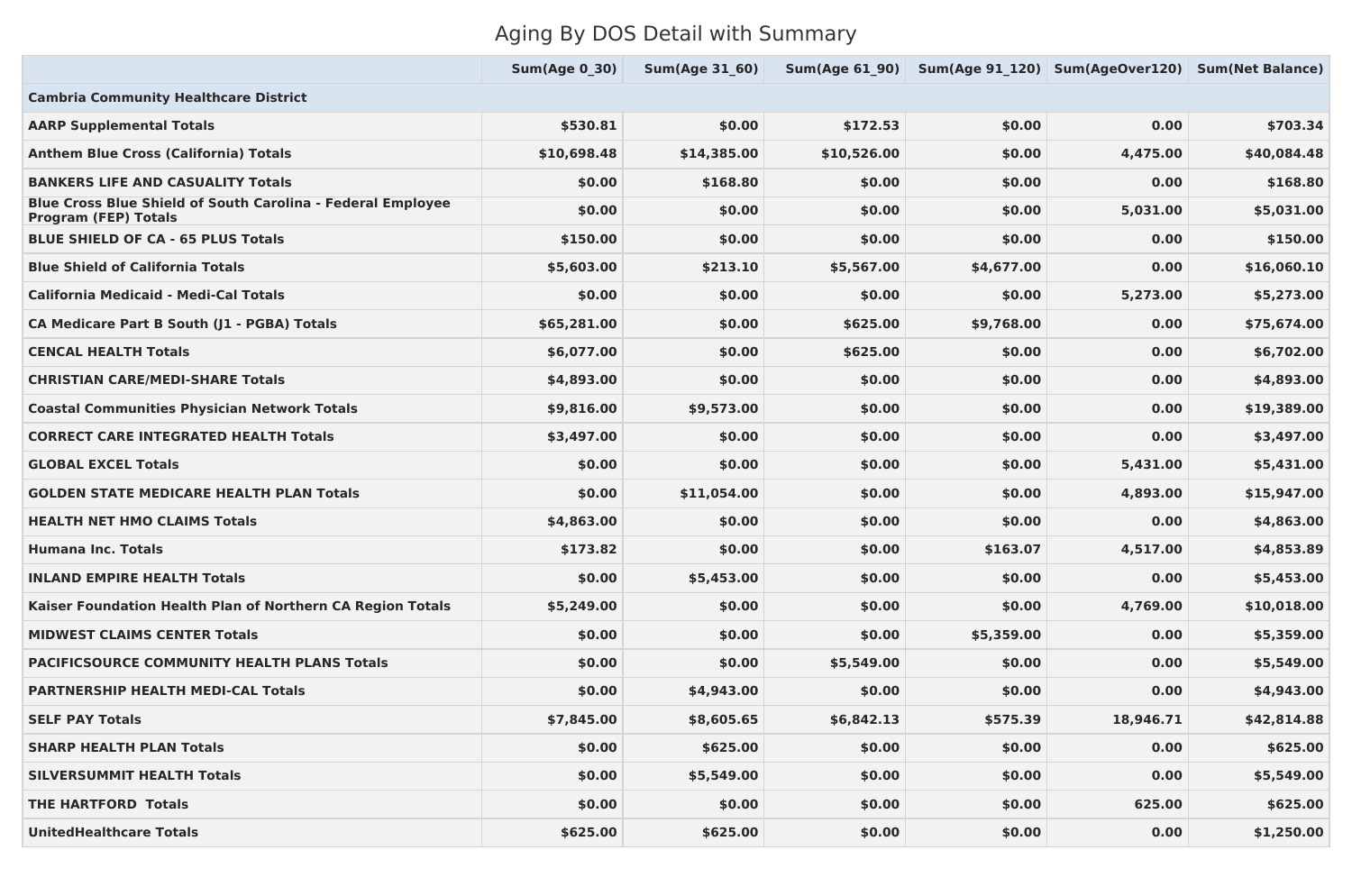# Aging By DOS Detail with Summary

|                                                                                                   | <b>Sum(Age 0 30)</b> | <b>Sum(Age 31 60)</b> | Sum(Age 61 90) |            | Sum(Age 91_120) Sum(AgeOver120) Sum(Net Balance) |             |
|---------------------------------------------------------------------------------------------------|----------------------|-----------------------|----------------|------------|--------------------------------------------------|-------------|
| <b>Cambria Community Healthcare District</b>                                                      |                      |                       |                |            |                                                  |             |
| <b>AARP Supplemental Totals</b>                                                                   | \$530.81             | \$0.00                | \$172.53       | \$0.00     | 0.00                                             | \$703.34    |
| <b>Anthem Blue Cross (California) Totals</b>                                                      | \$10,698.48          | \$14,385.00           | \$10,526.00    | \$0.00     | 4,475.00                                         | \$40,084.48 |
| <b>BANKERS LIFE AND CASUALITY Totals</b>                                                          | \$0.00               | \$168.80              | \$0.00         | \$0.00     | 0.00                                             | \$168.80    |
| <b>Blue Cross Blue Shield of South Carolina - Federal Employee</b><br><b>Program (FEP) Totals</b> | \$0.00               | \$0.00                | \$0.00         | \$0.00     | 5,031.00                                         | \$5,031.00  |
| <b>BLUE SHIELD OF CA - 65 PLUS Totals</b>                                                         | \$150.00             | \$0.00                | \$0.00         | \$0.00     | 0.00                                             | \$150.00    |
| <b>Blue Shield of California Totals</b>                                                           | \$5,603.00           | \$213.10              | \$5,567.00     | \$4,677.00 | 0.00                                             | \$16,060.10 |
| <b>California Medicaid - Medi-Cal Totals</b>                                                      | \$0.00               | \$0.00                | \$0.00         | \$0.00     | 5,273.00                                         | \$5,273.00  |
| <b>CA Medicare Part B South (J1 - PGBA) Totals</b>                                                | \$65,281.00          | \$0.00                | \$625.00       | \$9,768.00 | 0.00                                             | \$75,674.00 |
| <b>CENCAL HEALTH Totals</b>                                                                       | \$6,077.00           | \$0.00                | \$625.00       | \$0.00     | 0.00                                             | \$6,702.00  |
| <b>CHRISTIAN CARE/MEDI-SHARE Totals</b>                                                           | \$4,893.00           | \$0.00                | \$0.00         | \$0.00     | 0.00                                             | \$4,893.00  |
| <b>Coastal Communities Physician Network Totals</b>                                               | \$9,816.00           | \$9,573.00            | \$0.00         | \$0.00     | 0.00                                             | \$19,389.00 |
| <b>CORRECT CARE INTEGRATED HEALTH Totals</b>                                                      | \$3,497.00           | \$0.00                | \$0.00         | \$0.00     | 0.00                                             | \$3,497.00  |
| <b>GLOBAL EXCEL Totals</b>                                                                        | \$0.00               | \$0.00                | \$0.00         | \$0.00     | 5,431.00                                         | \$5,431.00  |
| <b>GOLDEN STATE MEDICARE HEALTH PLAN Totals</b>                                                   | \$0.00               | \$11,054.00           | \$0.00         | \$0.00     | 4,893.00                                         | \$15,947.00 |
| <b>HEALTH NET HMO CLAIMS Totals</b>                                                               | \$4,863.00           | \$0.00                | \$0.00         | \$0.00     | 0.00                                             | \$4,863.00  |
| <b>Humana Inc. Totals</b>                                                                         | \$173.82             | \$0.00                | \$0.00         | \$163.07   | 4,517.00                                         | \$4,853.89  |
| <b>INLAND EMPIRE HEALTH Totals</b>                                                                | \$0.00               | \$5,453.00            | \$0.00         | \$0.00     | 0.00                                             | \$5,453.00  |
| Kaiser Foundation Health Plan of Northern CA Region Totals                                        | \$5,249.00           | \$0.00                | \$0.00         | \$0.00     | 4,769.00                                         | \$10,018.00 |
| <b>MIDWEST CLAIMS CENTER Totals</b>                                                               | \$0.00               | \$0.00                | \$0.00         | \$5,359.00 | 0.00                                             | \$5,359.00  |
| <b>PACIFICSOURCE COMMUNITY HEALTH PLANS Totals</b>                                                | \$0.00               | \$0.00                | \$5,549.00     | \$0.00     | 0.00                                             | \$5,549.00  |
| <b>PARTNERSHIP HEALTH MEDI-CAL Totals</b>                                                         | \$0.00               | \$4,943.00            | \$0.00         | \$0.00     | 0.00                                             | \$4,943.00  |
| <b>SELF PAY Totals</b>                                                                            | \$7,845.00           | \$8,605.65            | \$6,842.13     | \$575.39   | 18,946.71                                        | \$42,814.88 |
| <b>SHARP HEALTH PLAN Totals</b>                                                                   | \$0.00               | \$625.00              | \$0.00         | \$0.00     | 0.00                                             | \$625.00    |
| <b>SILVERSUMMIT HEALTH Totals</b>                                                                 | \$0.00               | \$5,549.00            | \$0.00         | \$0.00     | 0.00                                             | \$5,549.00  |
| <b>THE HARTFORD Totals</b>                                                                        | \$0.00               | \$0.00                | \$0.00         | \$0.00     | 625.00                                           | \$625.00    |
| <b>UnitedHealthcare Totals</b>                                                                    | \$625.00             | \$625.00              | \$0.00         | \$0.00     | 0.00                                             | \$1,250.00  |